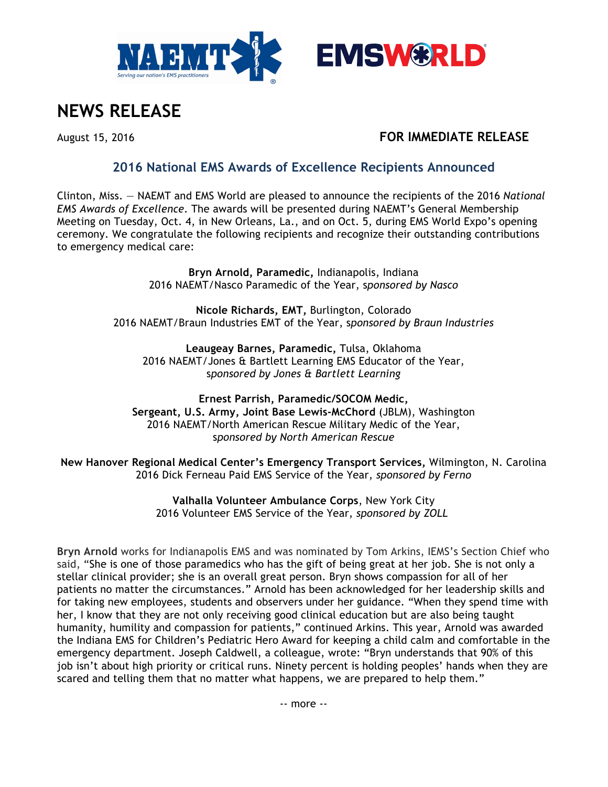



# **NEWS RELEASE**

## August 15, 2016 **FOR IMMEDIATE RELEASE**

## **2016 National EMS Awards of Excellence Recipients Announced**

Clinton, Miss. — NAEMT and EMS World are pleased to announce the recipients of the 2016 *National EMS Awards of Excellence*. The awards will be presented during NAEMT's General Membership Meeting on Tuesday, Oct. 4, in New Orleans, La., and on Oct. 5, during EMS World Expo's opening ceremony. We congratulate the following recipients and recognize their outstanding contributions to emergency medical care:

> **Bryn Arnold, Paramedic,** Indianapolis, Indiana 2016 NAEMT/Nasco Paramedic of the Year, s*ponsored by Nasco*

**Nicole Richards, EMT,** Burlington, Colorado 2016 NAEMT/Braun Industries EMT of the Year, s*ponsored by Braun Industries*

**Leaugeay Barnes, Paramedic,** Tulsa, Oklahoma 2016 NAEMT/Jones & Bartlett Learning EMS Educator of the Year, s*ponsored by Jones & Bartlett Learning*

**Ernest Parrish, Paramedic/SOCOM Medic, Sergeant, U.S. Army, Joint Base Lewis-McChord** (JBLM), Washington 2016 NAEMT/North American Rescue Military Medic of the Year, s*ponsored by North American Rescue*

**New Hanover Regional Medical Center's Emergency Transport Services,** Wilmington, N. Carolina 2016 Dick Ferneau Paid EMS Service of the Year, *sponsored by Ferno*

> **Valhalla Volunteer Ambulance Corps**, New York City 2016 Volunteer EMS Service of the Year, *sponsored by ZOLL*

**Bryn Arnold** works for Indianapolis EMS and was nominated by Tom Arkins, IEMS's Section Chief who said, "She is one of those paramedics who has the gift of being great at her job. She is not only a stellar clinical provider; she is an overall great person. Bryn shows compassion for all of her patients no matter the circumstances." Arnold has been acknowledged for her leadership skills and for taking new employees, students and observers under her guidance. "When they spend time with her, I know that they are not only receiving good clinical education but are also being taught humanity, humility and compassion for patients," continued Arkins. This year, Arnold was awarded the Indiana EMS for Children's Pediatric Hero Award for keeping a child calm and comfortable in the emergency department. Joseph Caldwell, a colleague, wrote: "Bryn understands that 90% of this job isn't about high priority or critical runs. Ninety percent is holding peoples' hands when they are scared and telling them that no matter what happens, we are prepared to help them."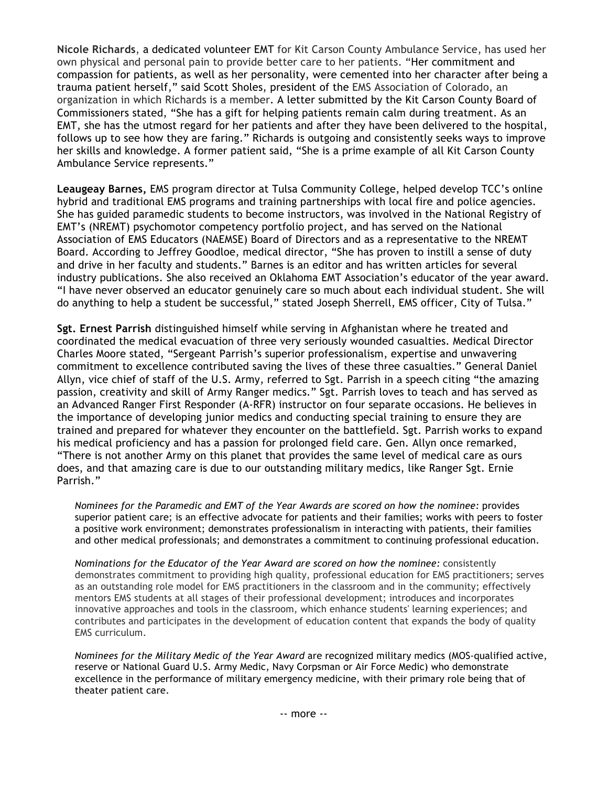**Nicole Richards**, a dedicated volunteer EMT for Kit Carson County Ambulance Service, has used her own physical and personal pain to provide better care to her patients. "Her commitment and compassion for patients, as well as her personality, were cemented into her character after being a trauma patient herself," said Scott Sholes, president of the EMS Association of Colorado, an organization in which Richards is a member. A letter submitted by the Kit Carson County Board of Commissioners stated, "She has a gift for helping patients remain calm during treatment. As an EMT, she has the utmost regard for her patients and after they have been delivered to the hospital, follows up to see how they are faring." Richards is outgoing and consistently seeks ways to improve her skills and knowledge. A former patient said, "She is a prime example of all Kit Carson County Ambulance Service represents."

**Leaugeay Barnes,** EMS program director at Tulsa Community College, helped develop TCC's online hybrid and traditional EMS programs and training partnerships with local fire and police agencies. She has guided paramedic students to become instructors, was involved in the National Registry of EMT's (NREMT) psychomotor competency portfolio project, and has served on the National Association of EMS Educators (NAEMSE) Board of Directors and as a representative to the NREMT Board. According to Jeffrey Goodloe, medical director, "She has proven to instill a sense of duty and drive in her faculty and students." Barnes is an editor and has written articles for several industry publications. She also received an Oklahoma EMT Association's educator of the year award. "I have never observed an educator genuinely care so much about each individual student. She will do anything to help a student be successful," stated Joseph Sherrell, EMS officer, City of Tulsa."

**Sgt. Ernest Parrish** distinguished himself while serving in Afghanistan where he treated and coordinated the medical evacuation of three very seriously wounded casualties. Medical Director Charles Moore stated, "Sergeant Parrish's superior professionalism, expertise and unwavering commitment to excellence contributed saving the lives of these three casualties." General Daniel Allyn, vice chief of staff of the U.S. Army, referred to Sgt. Parrish in a speech citing "the amazing passion, creativity and skill of Army Ranger medics." Sgt. Parrish loves to teach and has served as an Advanced Ranger First Responder (A-RFR) instructor on four separate occasions. He believes in the importance of developing junior medics and conducting special training to ensure they are trained and prepared for whatever they encounter on the battlefield. Sgt. Parrish works to expand his medical proficiency and has a passion for prolonged field care. Gen. Allyn once remarked, "There is not another Army on this planet that provides the same level of medical care as ours does, and that amazing care is due to our outstanding military medics, like Ranger Sgt. Ernie Parrish."

*Nominees for the Paramedic and EMT of the Year Awards are scored on how the nominee:* provides superior patient care; is an effective advocate for patients and their families; works with peers to foster a positive work environment; demonstrates professionalism in interacting with patients, their families and other medical professionals; and demonstrates a commitment to continuing professional education.

*Nominations for the Educator of the Year Award are scored on how the nominee:* consistently demonstrates commitment to providing high quality, professional education for EMS practitioners; serves as an outstanding role model for EMS practitioners in the classroom and in the community; effectively mentors EMS students at all stages of their professional development; introduces and incorporates innovative approaches and tools in the classroom, which enhance students' learning experiences; and contributes and participates in the development of education content that expands the body of quality EMS curriculum.

*Nominees for the Military Medic of the Year Award* are recognized military medics (MOS-qualified active, reserve or National Guard U.S. Army Medic, Navy Corpsman or Air Force Medic) who demonstrate excellence in the performance of military emergency medicine, with their primary role being that of theater patient care.